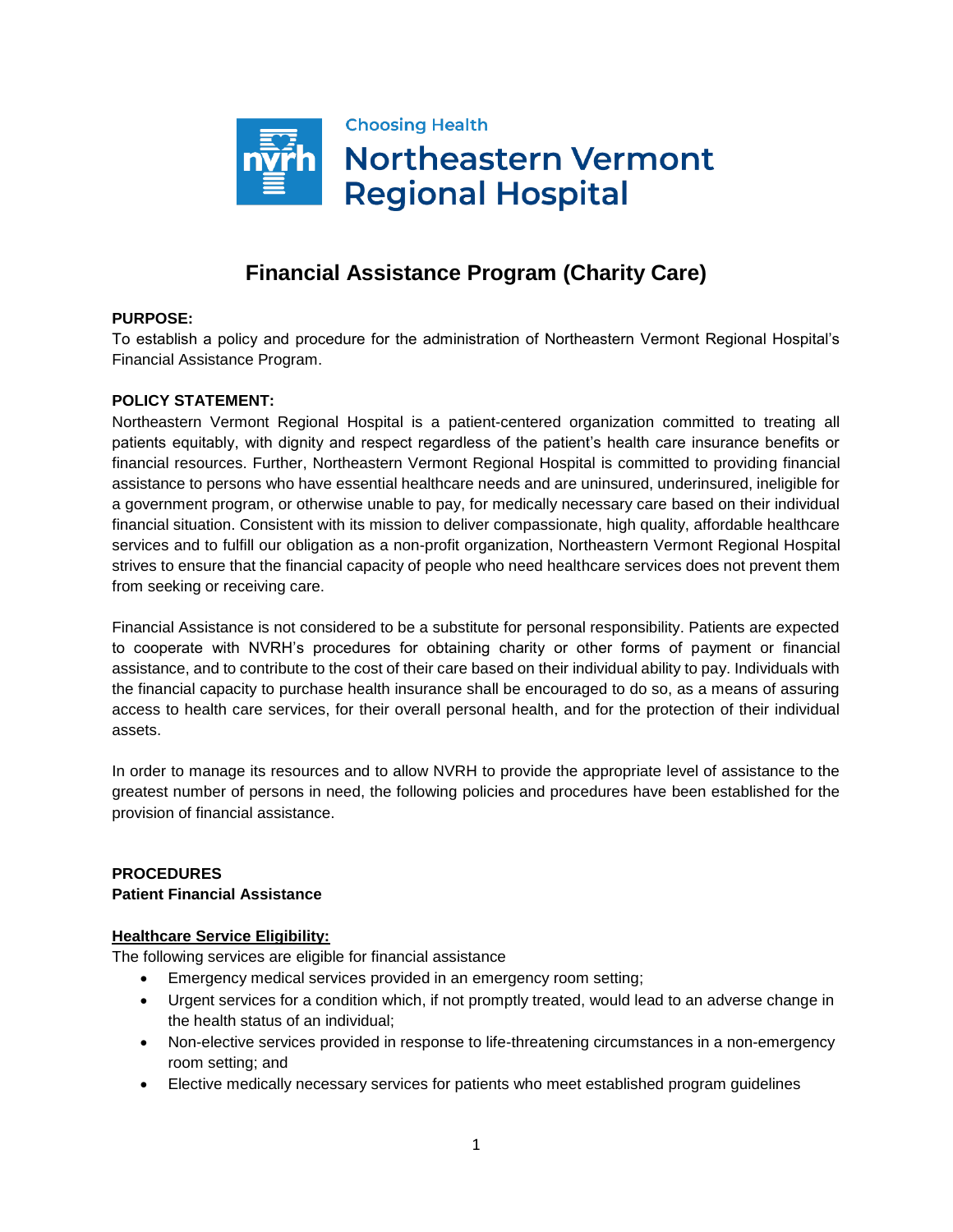

# **Financial Assistance Program (Charity Care)**

## **PURPOSE:**

To establish a policy and procedure for the administration of Northeastern Vermont Regional Hospital's Financial Assistance Program.

### **POLICY STATEMENT:**

Northeastern Vermont Regional Hospital is a patient-centered organization committed to treating all patients equitably, with dignity and respect regardless of the patient's health care insurance benefits or financial resources. Further, Northeastern Vermont Regional Hospital is committed to providing financial assistance to persons who have essential healthcare needs and are uninsured, underinsured, ineligible for a government program, or otherwise unable to pay, for medically necessary care based on their individual financial situation. Consistent with its mission to deliver compassionate, high quality, affordable healthcare services and to fulfill our obligation as a non-profit organization, Northeastern Vermont Regional Hospital strives to ensure that the financial capacity of people who need healthcare services does not prevent them from seeking or receiving care.

Financial Assistance is not considered to be a substitute for personal responsibility. Patients are expected to cooperate with NVRH's procedures for obtaining charity or other forms of payment or financial assistance, and to contribute to the cost of their care based on their individual ability to pay. Individuals with the financial capacity to purchase health insurance shall be encouraged to do so, as a means of assuring access to health care services, for their overall personal health, and for the protection of their individual assets.

In order to manage its resources and to allow NVRH to provide the appropriate level of assistance to the greatest number of persons in need, the following policies and procedures have been established for the provision of financial assistance.

### **PROCEDURES Patient Financial Assistance**

### **Healthcare Service Eligibility:**

The following services are eligible for financial assistance

- Emergency medical services provided in an emergency room setting;
- Urgent services for a condition which, if not promptly treated, would lead to an adverse change in the health status of an individual;
- Non-elective services provided in response to life-threatening circumstances in a non-emergency room setting; and
- Elective medically necessary services for patients who meet established program guidelines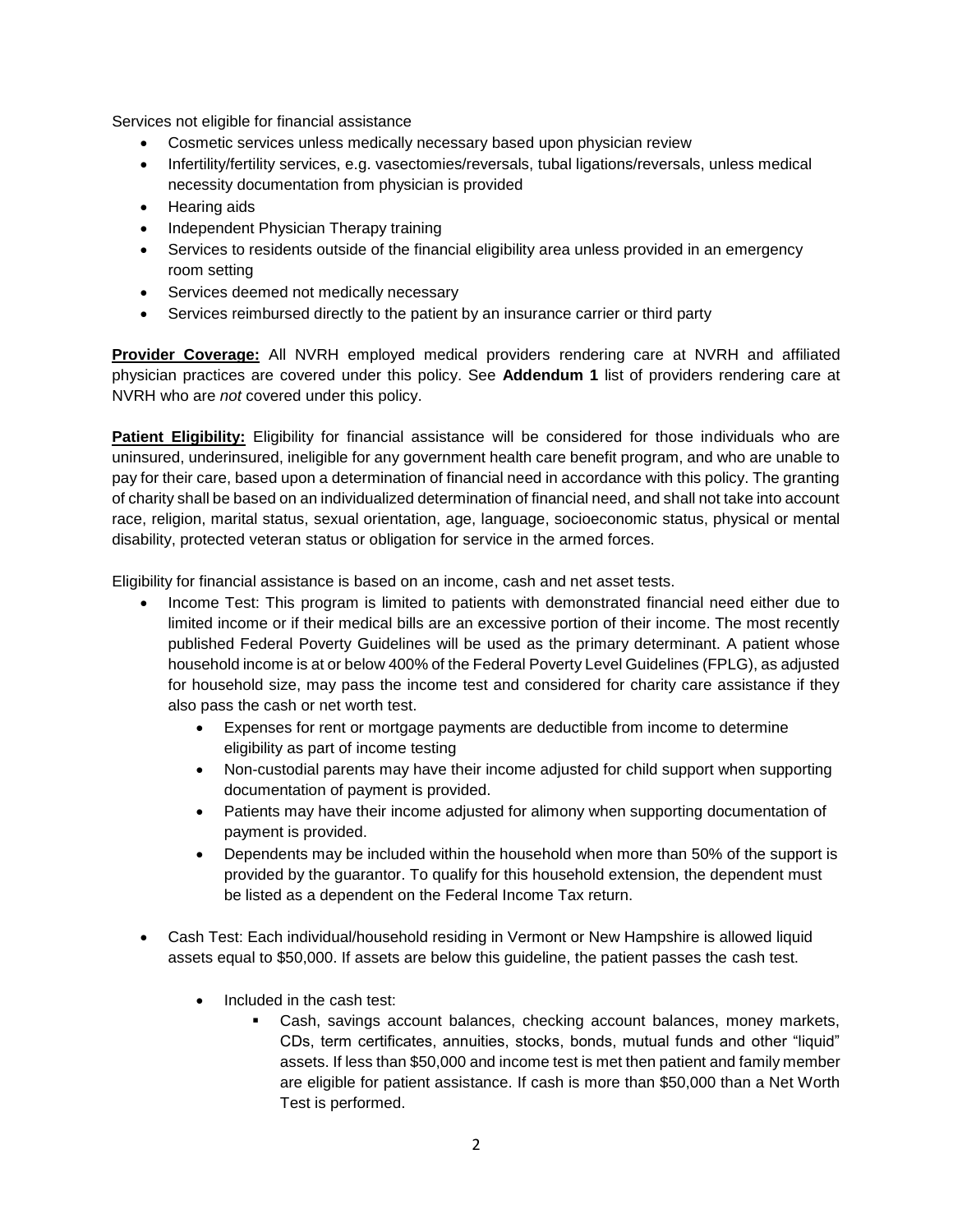Services not eligible for financial assistance

- Cosmetic services unless medically necessary based upon physician review
- Infertility/fertility services, e.g. vasectomies/reversals, tubal ligations/reversals, unless medical necessity documentation from physician is provided
- Hearing aids
- Independent Physician Therapy training
- Services to residents outside of the financial eligibility area unless provided in an emergency room setting
- Services deemed not medically necessary
- Services reimbursed directly to the patient by an insurance carrier or third party

**Provider Coverage:** All NVRH employed medical providers rendering care at NVRH and affiliated physician practices are covered under this policy. See **Addendum 1** list of providers rendering care at NVRH who are *not* covered under this policy.

**Patient Eligibility:** Eligibility for financial assistance will be considered for those individuals who are uninsured, underinsured, ineligible for any government health care benefit program, and who are unable to pay for their care, based upon a determination of financial need in accordance with this policy. The granting of charity shall be based on an individualized determination of financial need, and shall not take into account race, religion, marital status, sexual orientation, age, language, socioeconomic status, physical or mental disability, protected veteran status or obligation for service in the armed forces.

Eligibility for financial assistance is based on an income, cash and net asset tests.

- Income Test: This program is limited to patients with demonstrated financial need either due to limited income or if their medical bills are an excessive portion of their income. The most recently published Federal Poverty Guidelines will be used as the primary determinant. A patient whose household income is at or below 400% of the Federal Poverty Level Guidelines (FPLG), as adjusted for household size, may pass the income test and considered for charity care assistance if they also pass the cash or net worth test.
	- Expenses for rent or mortgage payments are deductible from income to determine eligibility as part of income testing
	- Non-custodial parents may have their income adjusted for child support when supporting documentation of payment is provided.
	- Patients may have their income adjusted for alimony when supporting documentation of payment is provided.
	- Dependents may be included within the household when more than 50% of the support is provided by the guarantor. To qualify for this household extension, the dependent must be listed as a dependent on the Federal Income Tax return.
- Cash Test: Each individual/household residing in Vermont or New Hampshire is allowed liquid assets equal to \$50,000. If assets are below this guideline, the patient passes the cash test.
	- Included in the cash test:
		- Cash, savings account balances, checking account balances, money markets, CDs, term certificates, annuities, stocks, bonds, mutual funds and other "liquid" assets. If less than \$50,000 and income test is met then patient and family member are eligible for patient assistance. If cash is more than \$50,000 than a Net Worth Test is performed.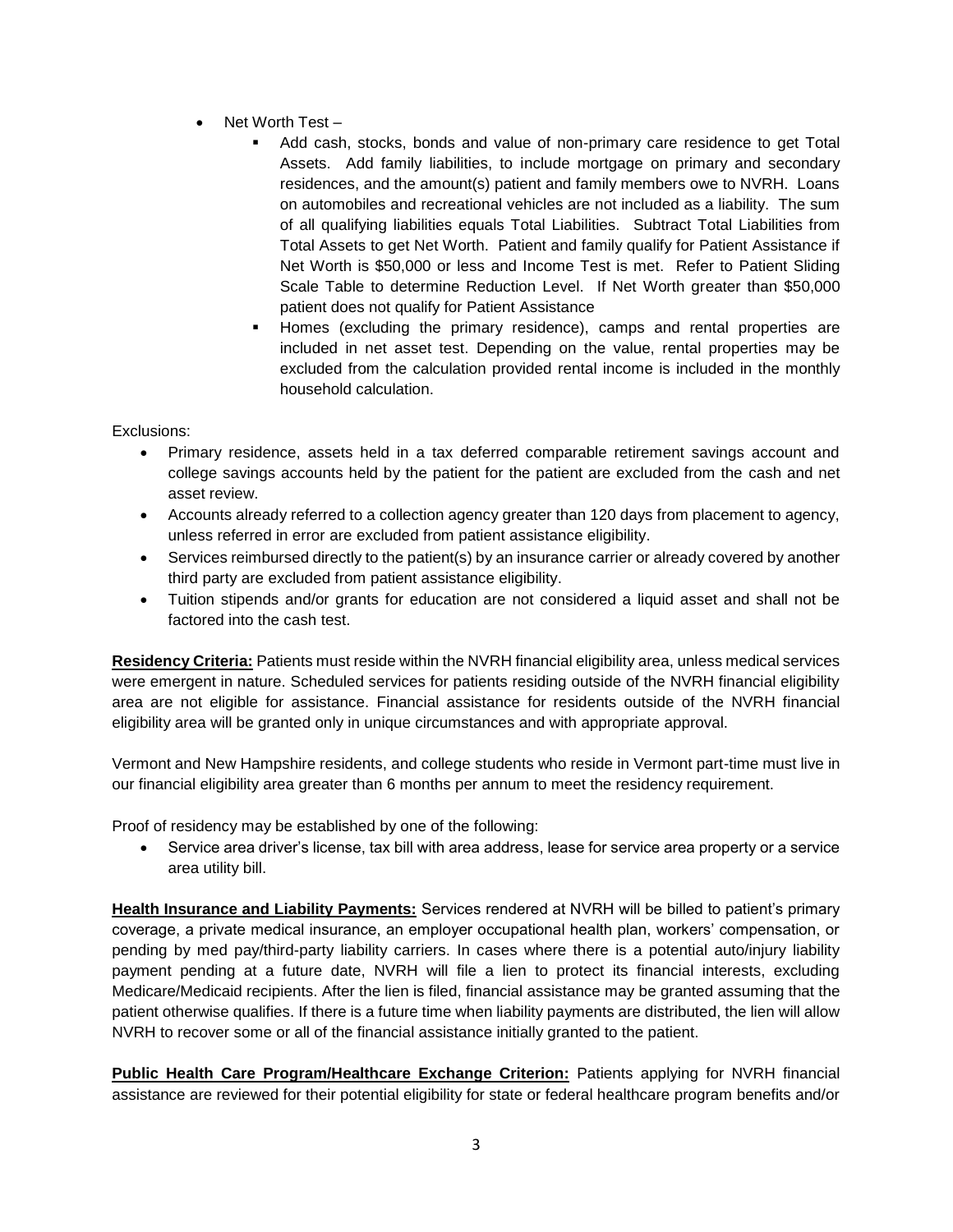- Net Worth Test
	- Add cash, stocks, bonds and value of non-primary care residence to get Total Assets. Add family liabilities, to include mortgage on primary and secondary residences, and the amount(s) patient and family members owe to NVRH. Loans on automobiles and recreational vehicles are not included as a liability. The sum of all qualifying liabilities equals Total Liabilities. Subtract Total Liabilities from Total Assets to get Net Worth. Patient and family qualify for Patient Assistance if Net Worth is \$50,000 or less and Income Test is met. Refer to Patient Sliding Scale Table to determine Reduction Level. If Net Worth greater than \$50,000 patient does not qualify for Patient Assistance
	- Homes (excluding the primary residence), camps and rental properties are included in net asset test. Depending on the value, rental properties may be excluded from the calculation provided rental income is included in the monthly household calculation.

Exclusions:

- Primary residence, assets held in a tax deferred comparable retirement savings account and college savings accounts held by the patient for the patient are excluded from the cash and net asset review.
- Accounts already referred to a collection agency greater than 120 days from placement to agency, unless referred in error are excluded from patient assistance eligibility.
- Services reimbursed directly to the patient(s) by an insurance carrier or already covered by another third party are excluded from patient assistance eligibility.
- Tuition stipends and/or grants for education are not considered a liquid asset and shall not be factored into the cash test.

**Residency Criteria:** Patients must reside within the NVRH financial eligibility area, unless medical services were emergent in nature. Scheduled services for patients residing outside of the NVRH financial eligibility area are not eligible for assistance. Financial assistance for residents outside of the NVRH financial eligibility area will be granted only in unique circumstances and with appropriate approval.

Vermont and New Hampshire residents, and college students who reside in Vermont part-time must live in our financial eligibility area greater than 6 months per annum to meet the residency requirement.

Proof of residency may be established by one of the following:

 Service area driver's license, tax bill with area address, lease for service area property or a service area utility bill.

**Health Insurance and Liability Payments:** Services rendered at NVRH will be billed to patient's primary coverage, a private medical insurance, an employer occupational health plan, workers' compensation, or pending by med pay/third-party liability carriers. In cases where there is a potential auto/injury liability payment pending at a future date, NVRH will file a lien to protect its financial interests, excluding Medicare/Medicaid recipients. After the lien is filed, financial assistance may be granted assuming that the patient otherwise qualifies. If there is a future time when liability payments are distributed, the lien will allow NVRH to recover some or all of the financial assistance initially granted to the patient.

**Public Health Care Program/Healthcare Exchange Criterion:** Patients applying for NVRH financial assistance are reviewed for their potential eligibility for state or federal healthcare program benefits and/or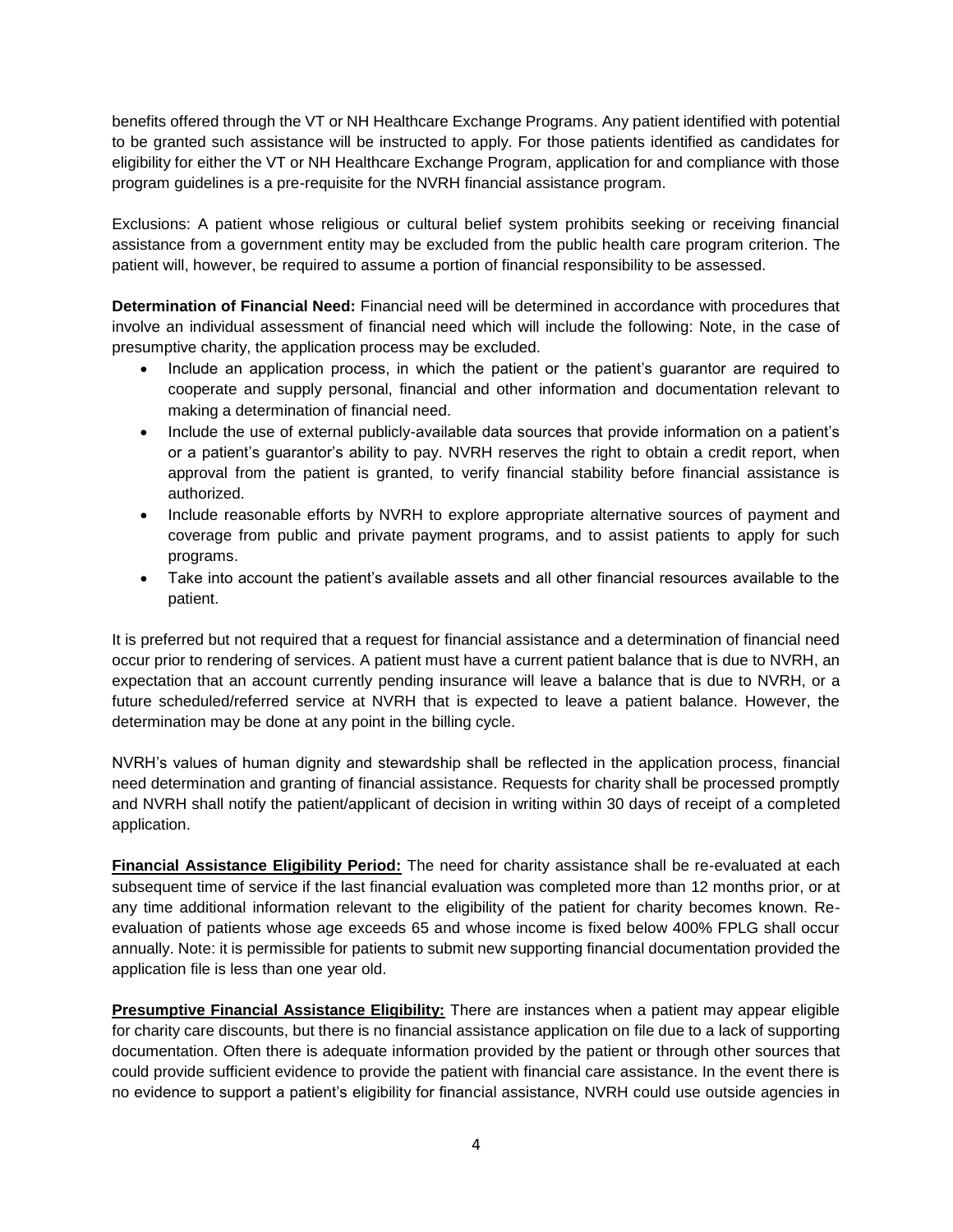benefits offered through the VT or NH Healthcare Exchange Programs. Any patient identified with potential to be granted such assistance will be instructed to apply. For those patients identified as candidates for eligibility for either the VT or NH Healthcare Exchange Program, application for and compliance with those program guidelines is a pre-requisite for the NVRH financial assistance program.

Exclusions: A patient whose religious or cultural belief system prohibits seeking or receiving financial assistance from a government entity may be excluded from the public health care program criterion. The patient will, however, be required to assume a portion of financial responsibility to be assessed.

**Determination of Financial Need:** Financial need will be determined in accordance with procedures that involve an individual assessment of financial need which will include the following: Note, in the case of presumptive charity, the application process may be excluded.

- Include an application process, in which the patient or the patient's guarantor are required to cooperate and supply personal, financial and other information and documentation relevant to making a determination of financial need.
- Include the use of external publicly-available data sources that provide information on a patient's or a patient's guarantor's ability to pay. NVRH reserves the right to obtain a credit report, when approval from the patient is granted, to verify financial stability before financial assistance is authorized.
- Include reasonable efforts by NVRH to explore appropriate alternative sources of payment and coverage from public and private payment programs, and to assist patients to apply for such programs.
- Take into account the patient's available assets and all other financial resources available to the patient.

It is preferred but not required that a request for financial assistance and a determination of financial need occur prior to rendering of services. A patient must have a current patient balance that is due to NVRH, an expectation that an account currently pending insurance will leave a balance that is due to NVRH, or a future scheduled/referred service at NVRH that is expected to leave a patient balance. However, the determination may be done at any point in the billing cycle.

NVRH's values of human dignity and stewardship shall be reflected in the application process, financial need determination and granting of financial assistance. Requests for charity shall be processed promptly and NVRH shall notify the patient/applicant of decision in writing within 30 days of receipt of a completed application.

**Financial Assistance Eligibility Period:** The need for charity assistance shall be re-evaluated at each subsequent time of service if the last financial evaluation was completed more than 12 months prior, or at any time additional information relevant to the eligibility of the patient for charity becomes known. Reevaluation of patients whose age exceeds 65 and whose income is fixed below 400% FPLG shall occur annually. Note: it is permissible for patients to submit new supporting financial documentation provided the application file is less than one year old.

**Presumptive Financial Assistance Eligibility:** There are instances when a patient may appear eligible for charity care discounts, but there is no financial assistance application on file due to a lack of supporting documentation. Often there is adequate information provided by the patient or through other sources that could provide sufficient evidence to provide the patient with financial care assistance. In the event there is no evidence to support a patient's eligibility for financial assistance, NVRH could use outside agencies in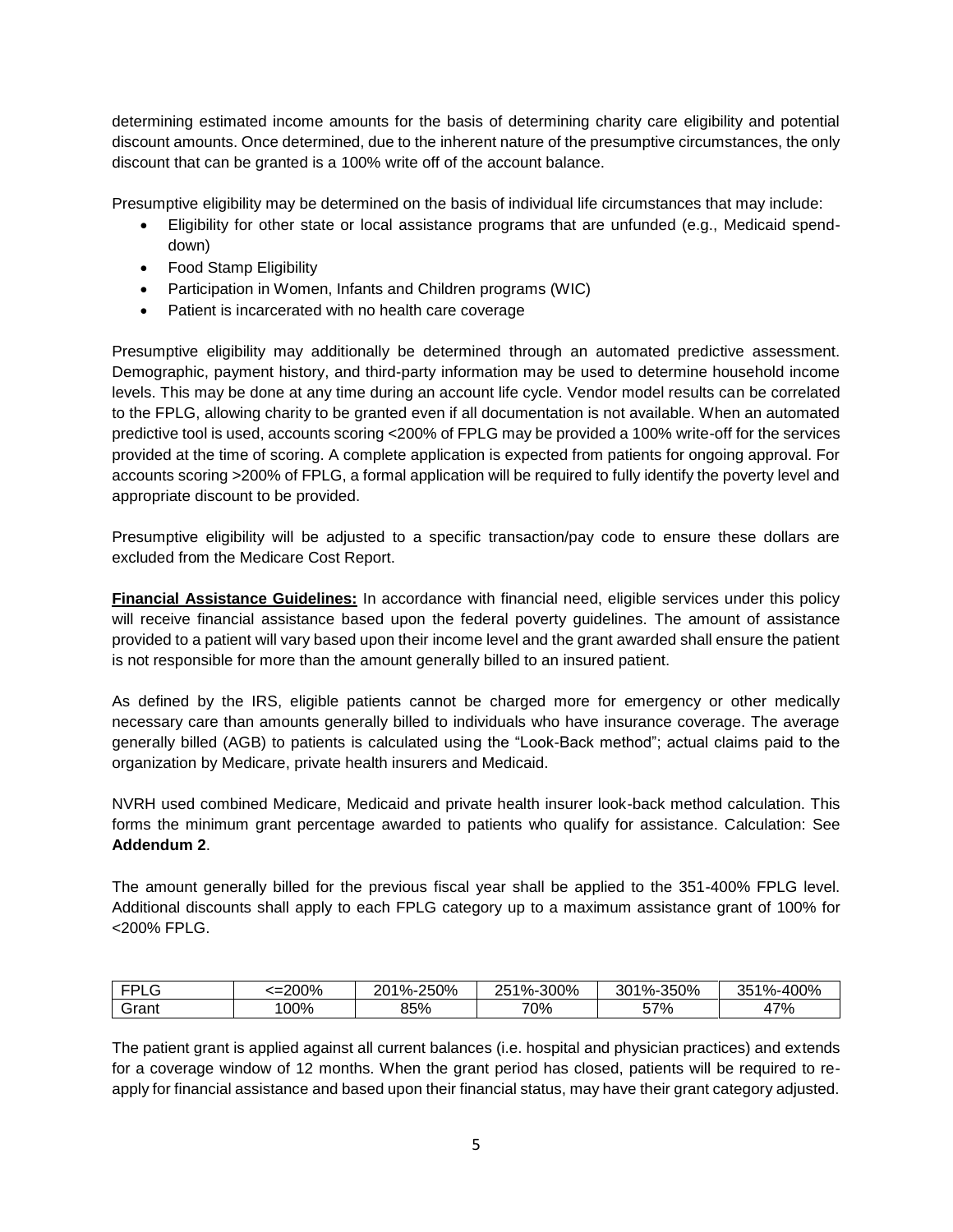determining estimated income amounts for the basis of determining charity care eligibility and potential discount amounts. Once determined, due to the inherent nature of the presumptive circumstances, the only discount that can be granted is a 100% write off of the account balance.

Presumptive eligibility may be determined on the basis of individual life circumstances that may include:

- Eligibility for other state or local assistance programs that are unfunded (e.g., Medicaid spenddown)
- Food Stamp Eligibility
- Participation in Women, Infants and Children programs (WIC)
- Patient is incarcerated with no health care coverage

Presumptive eligibility may additionally be determined through an automated predictive assessment. Demographic, payment history, and third-party information may be used to determine household income levels. This may be done at any time during an account life cycle. Vendor model results can be correlated to the FPLG, allowing charity to be granted even if all documentation is not available. When an automated predictive tool is used, accounts scoring <200% of FPLG may be provided a 100% write-off for the services provided at the time of scoring. A complete application is expected from patients for ongoing approval. For accounts scoring >200% of FPLG, a formal application will be required to fully identify the poverty level and appropriate discount to be provided.

Presumptive eligibility will be adjusted to a specific transaction/pay code to ensure these dollars are excluded from the Medicare Cost Report.

**Financial Assistance Guidelines:** In accordance with financial need, eligible services under this policy will receive financial assistance based upon the federal poverty guidelines. The amount of assistance provided to a patient will vary based upon their income level and the grant awarded shall ensure the patient is not responsible for more than the amount generally billed to an insured patient.

As defined by the IRS, eligible patients cannot be charged more for emergency or other medically necessary care than amounts generally billed to individuals who have insurance coverage. The average generally billed (AGB) to patients is calculated using the "Look-Back method"; actual claims paid to the organization by Medicare, private health insurers and Medicaid.

NVRH used combined Medicare, Medicaid and private health insurer look-back method calculation. This forms the minimum grant percentage awarded to patients who qualify for assistance. Calculation: See **Addendum 2**.

The amount generally billed for the previous fiscal year shall be applied to the 351-400% FPLG level. Additional discounts shall apply to each FPLG category up to a maximum assistance grant of 100% for <200% FPLG.

| $  -$    | 200%<br>-- | 250%<br>$\mathbf{u}$<br>້/ຕະ | 300%<br>≀ ∩<br>ิวค<br>"∕∩−. | 350%<br>$^{\circ}$ %-.<br>JU. | $00\%$<br>n r<br>10 <sub>l</sub> |
|----------|------------|------------------------------|-----------------------------|-------------------------------|----------------------------------|
| $:$ ron' | $00\%$     | O E Q<br>`70<br>DJ.          | 70%                         | 57%                           | 17%                              |

The patient grant is applied against all current balances (i.e. hospital and physician practices) and extends for a coverage window of 12 months. When the grant period has closed, patients will be required to reapply for financial assistance and based upon their financial status, may have their grant category adjusted.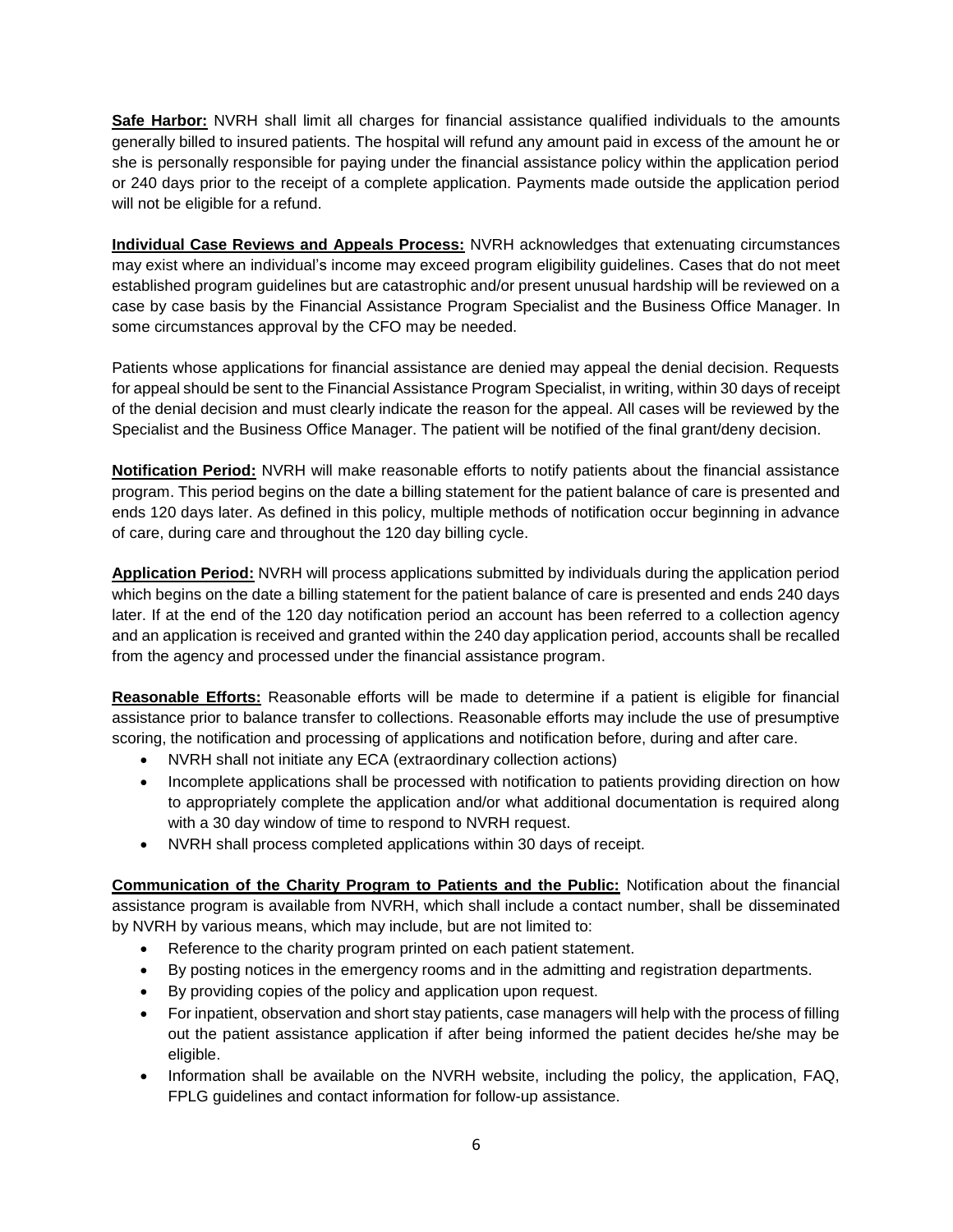**Safe Harbor:** NVRH shall limit all charges for financial assistance qualified individuals to the amounts generally billed to insured patients. The hospital will refund any amount paid in excess of the amount he or she is personally responsible for paying under the financial assistance policy within the application period or 240 days prior to the receipt of a complete application. Payments made outside the application period will not be eligible for a refund.

**Individual Case Reviews and Appeals Process:** NVRH acknowledges that extenuating circumstances may exist where an individual's income may exceed program eligibility guidelines. Cases that do not meet established program guidelines but are catastrophic and/or present unusual hardship will be reviewed on a case by case basis by the Financial Assistance Program Specialist and the Business Office Manager. In some circumstances approval by the CFO may be needed.

Patients whose applications for financial assistance are denied may appeal the denial decision. Requests for appeal should be sent to the Financial Assistance Program Specialist, in writing, within 30 days of receipt of the denial decision and must clearly indicate the reason for the appeal. All cases will be reviewed by the Specialist and the Business Office Manager. The patient will be notified of the final grant/deny decision.

**Notification Period:** NVRH will make reasonable efforts to notify patients about the financial assistance program. This period begins on the date a billing statement for the patient balance of care is presented and ends 120 days later. As defined in this policy, multiple methods of notification occur beginning in advance of care, during care and throughout the 120 day billing cycle.

**Application Period:** NVRH will process applications submitted by individuals during the application period which begins on the date a billing statement for the patient balance of care is presented and ends 240 days later. If at the end of the 120 day notification period an account has been referred to a collection agency and an application is received and granted within the 240 day application period, accounts shall be recalled from the agency and processed under the financial assistance program.

**Reasonable Efforts:** Reasonable efforts will be made to determine if a patient is eligible for financial assistance prior to balance transfer to collections. Reasonable efforts may include the use of presumptive scoring, the notification and processing of applications and notification before, during and after care.

- NVRH shall not initiate any ECA (extraordinary collection actions)
- Incomplete applications shall be processed with notification to patients providing direction on how to appropriately complete the application and/or what additional documentation is required along with a 30 day window of time to respond to NVRH request.
- NVRH shall process completed applications within 30 days of receipt.

**Communication of the Charity Program to Patients and the Public:** Notification about the financial assistance program is available from NVRH, which shall include a contact number, shall be disseminated by NVRH by various means, which may include, but are not limited to:

- Reference to the charity program printed on each patient statement.
- By posting notices in the emergency rooms and in the admitting and registration departments.
- By providing copies of the policy and application upon request.
- For inpatient, observation and short stay patients, case managers will help with the process of filling out the patient assistance application if after being informed the patient decides he/she may be eligible.
- Information shall be available on the NVRH website, including the policy, the application, FAQ, FPLG guidelines and contact information for follow-up assistance.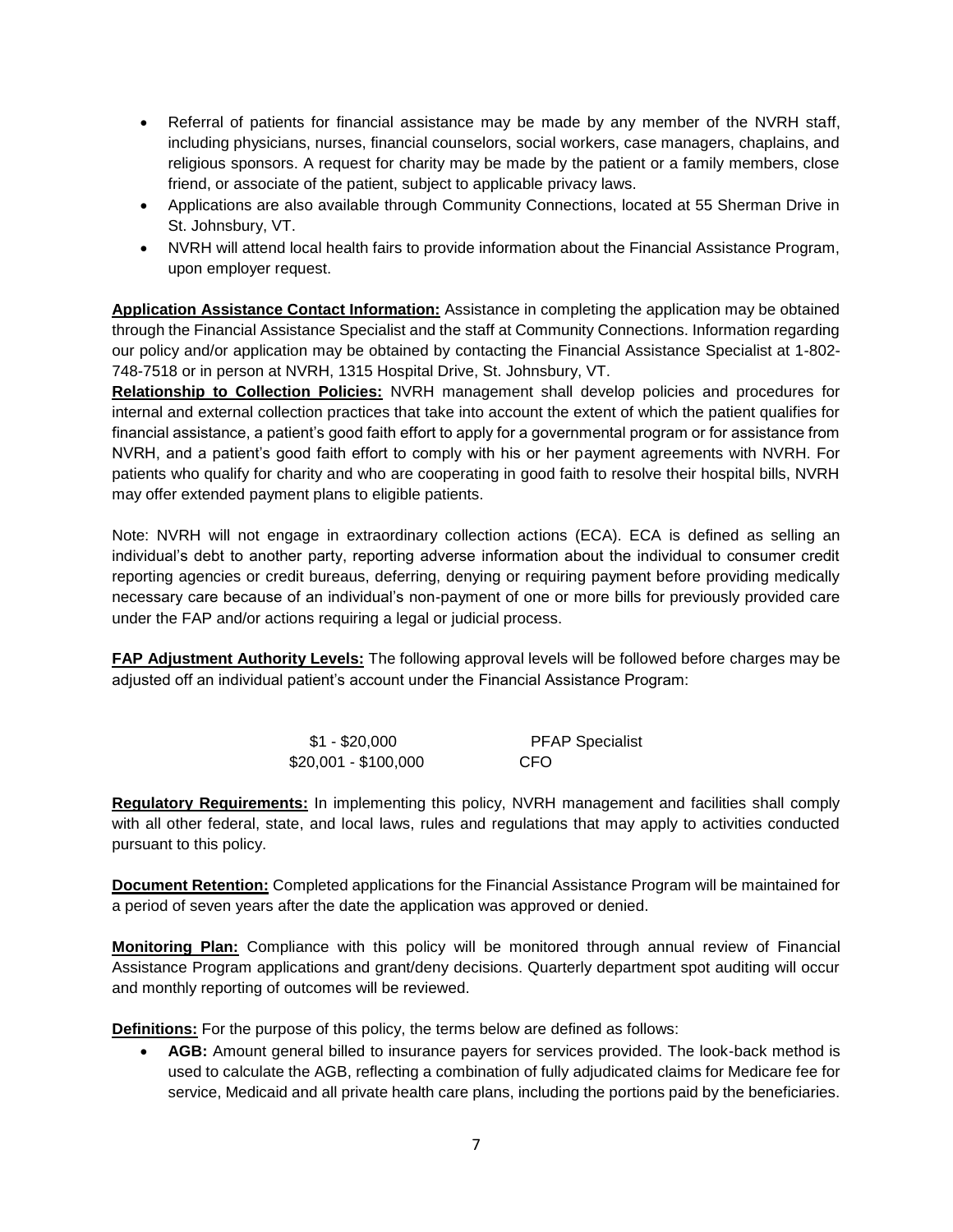- Referral of patients for financial assistance may be made by any member of the NVRH staff, including physicians, nurses, financial counselors, social workers, case managers, chaplains, and religious sponsors. A request for charity may be made by the patient or a family members, close friend, or associate of the patient, subject to applicable privacy laws.
- Applications are also available through Community Connections, located at 55 Sherman Drive in St. Johnsbury, VT.
- NVRH will attend local health fairs to provide information about the Financial Assistance Program, upon employer request.

**Application Assistance Contact Information:** Assistance in completing the application may be obtained through the Financial Assistance Specialist and the staff at Community Connections. Information regarding our policy and/or application may be obtained by contacting the Financial Assistance Specialist at 1-802- 748-7518 or in person at NVRH, 1315 Hospital Drive, St. Johnsbury, VT.

**Relationship to Collection Policies:** NVRH management shall develop policies and procedures for internal and external collection practices that take into account the extent of which the patient qualifies for financial assistance, a patient's good faith effort to apply for a governmental program or for assistance from NVRH, and a patient's good faith effort to comply with his or her payment agreements with NVRH. For patients who qualify for charity and who are cooperating in good faith to resolve their hospital bills, NVRH may offer extended payment plans to eligible patients.

Note: NVRH will not engage in extraordinary collection actions (ECA). ECA is defined as selling an individual's debt to another party, reporting adverse information about the individual to consumer credit reporting agencies or credit bureaus, deferring, denying or requiring payment before providing medically necessary care because of an individual's non-payment of one or more bills for previously provided care under the FAP and/or actions requiring a legal or judicial process.

**FAP Adjustment Authority Levels:** The following approval levels will be followed before charges may be adjusted off an individual patient's account under the Financial Assistance Program:

| \$1 - \$20,000       | <b>PFAP Specialist</b> |
|----------------------|------------------------|
| \$20,001 - \$100,000 | CFO                    |

**Regulatory Requirements:** In implementing this policy, NVRH management and facilities shall comply with all other federal, state, and local laws, rules and regulations that may apply to activities conducted pursuant to this policy.

**Document Retention:** Completed applications for the Financial Assistance Program will be maintained for a period of seven years after the date the application was approved or denied.

**Monitoring Plan:** Compliance with this policy will be monitored through annual review of Financial Assistance Program applications and grant/deny decisions. Quarterly department spot auditing will occur and monthly reporting of outcomes will be reviewed.

**Definitions:** For the purpose of this policy, the terms below are defined as follows:

 **AGB:** Amount general billed to insurance payers for services provided. The look-back method is used to calculate the AGB, reflecting a combination of fully adjudicated claims for Medicare fee for service, Medicaid and all private health care plans, including the portions paid by the beneficiaries.